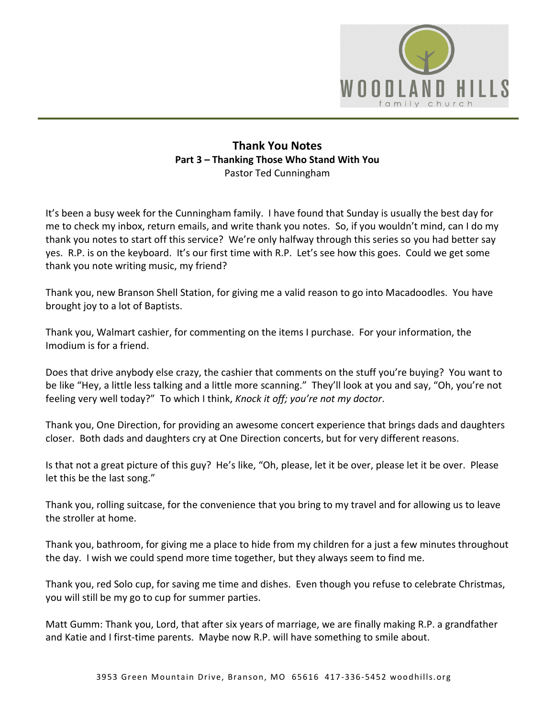

## **Thank You Notes Part 3 – Thanking Those Who Stand With You**  Pastor Ted Cunningham

It's been a busy week for the Cunningham family. I have found that Sunday is usually the best day for me to check my inbox, return emails, and write thank you notes. So, if you wouldn't mind, can I do my thank you notes to start off this service? We're only halfway through this series so you had better say yes. R.P. is on the keyboard. It's our first time with R.P. Let's see how this goes. Could we get some thank you note writing music, my friend?

Thank you, new Branson Shell Station, for giving me a valid reason to go into Macadoodles. You have brought joy to a lot of Baptists.

Thank you, Walmart cashier, for commenting on the items I purchase. For your information, the Imodium is for a friend.

Does that drive anybody else crazy, the cashier that comments on the stuff you're buying? You want to be like "Hey, a little less talking and a little more scanning." They'll look at you and say, "Oh, you're not feeling very well today?" To which I think, *Knock it off; you're not my doctor*.

Thank you, One Direction, for providing an awesome concert experience that brings dads and daughters closer. Both dads and daughters cry at One Direction concerts, but for very different reasons.

Is that not a great picture of this guy? He's like, "Oh, please, let it be over, please let it be over. Please let this be the last song."

Thank you, rolling suitcase, for the convenience that you bring to my travel and for allowing us to leave the stroller at home.

Thank you, bathroom, for giving me a place to hide from my children for a just a few minutes throughout the day. I wish we could spend more time together, but they always seem to find me.

Thank you, red Solo cup, for saving me time and dishes. Even though you refuse to celebrate Christmas, you will still be my go to cup for summer parties.

Matt Gumm: Thank you, Lord, that after six years of marriage, we are finally making R.P. a grandfather and Katie and I first-time parents. Maybe now R.P. will have something to smile about.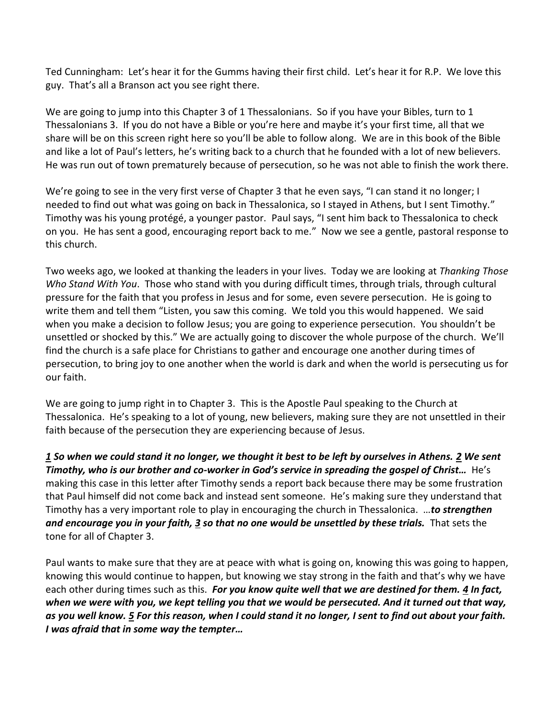Ted Cunningham: Let's hear it for the Gumms having their first child. Let's hear it for R.P. We love this guy. That's all a Branson act you see right there.

We are going to jump into this Chapter 3 of 1 Thessalonians. So if you have your Bibles, turn to 1 Thessalonians 3. If you do not have a Bible or you're here and maybe it's your first time, all that we share will be on this screen right here so you'll be able to follow along. We are in this book of the Bible and like a lot of Paul's letters, he's writing back to a church that he founded with a lot of new believers. He was run out of town prematurely because of persecution, so he was not able to finish the work there.

We're going to see in the very first verse of Chapter 3 that he even says, "I can stand it no longer; I needed to find out what was going on back in Thessalonica, so I stayed in Athens, but I sent Timothy." Timothy was his young protégé, a younger pastor. Paul says, "I sent him back to Thessalonica to check on you. He has sent a good, encouraging report back to me." Now we see a gentle, pastoral response to this church.

Two weeks ago, we looked at thanking the leaders in your lives. Today we are looking at *Thanking Those Who Stand With You*. Those who stand with you during difficult times, through trials, through cultural pressure for the faith that you profess in Jesus and for some, even severe persecution. He is going to write them and tell them "Listen, you saw this coming. We told you this would happened. We said when you make a decision to follow Jesus; you are going to experience persecution. You shouldn't be unsettled or shocked by this." We are actually going to discover the whole purpose of the church. We'll find the church is a safe place for Christians to gather and encourage one another during times of persecution, to bring joy to one another when the world is dark and when the world is persecuting us for our faith.

We are going to jump right in to Chapter 3. This is the Apostle Paul speaking to the Church at Thessalonica. He's speaking to a lot of young, new believers, making sure they are not unsettled in their faith because of the persecution they are experiencing because of Jesus.

*[1](http://www.studylight.org/desk/?q=1th%203:1&t1=en_niv&sr=1) So when we could stand it no longer, we thought it best to be left by ourselves in Athens. [2](http://www.studylight.org/desk/?q=1th%203:2&t1=en_niv&sr=1) We sent Timothy, who is our brother and co-worker in God's service in spreading the gospel of Christ…* He's making this case in this letter after Timothy sends a report back because there may be some frustration that Paul himself did not come back and instead sent someone. He's making sure they understand that Timothy has a very important role to play in encouraging the church in Thessalonica. …*to strengthen and encourage you in your faith, [3](http://www.studylight.org/desk/?q=1th%203:3&t1=en_niv&sr=1) so that no one would be unsettled by these trials.* That sets the tone for all of Chapter 3.

Paul wants to make sure that they are at peace with what is going on, knowing this was going to happen, knowing this would continue to happen, but knowing we stay strong in the faith and that's why we have each other during times such as this. *For you know quite well that we are destined for them. [4](http://www.studylight.org/desk/?q=1th%203:4&t1=en_niv&sr=1) In fact, when we were with you, we kept telling you that we would be persecuted. And it turned out that way, as you well know. [5](http://www.studylight.org/desk/?q=1th%203:5&t1=en_niv&sr=1) For this reason, when I could stand it no longer, I sent to find out about your faith. I was afraid that in some way the tempter…*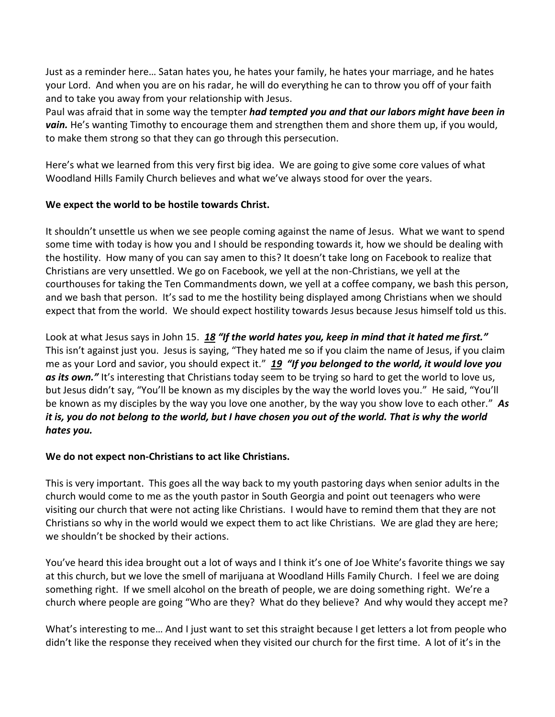Just as a reminder here… Satan hates you, he hates your family, he hates your marriage, and he hates your Lord. And when you are on his radar, he will do everything he can to throw you off of your faith and to take you away from your relationship with Jesus.

Paul was afraid that in some way the tempter *had tempted you and that our labors might have been in vain.* He's wanting Timothy to encourage them and strengthen them and shore them up, if you would, to make them strong so that they can go through this persecution.

Here's what we learned from this very first big idea. We are going to give some core values of what Woodland Hills Family Church believes and what we've always stood for over the years.

### **We expect the world to be hostile towards Christ.**

It shouldn't unsettle us when we see people coming against the name of Jesus. What we want to spend some time with today is how you and I should be responding towards it, how we should be dealing with the hostility. How many of you can say amen to this? It doesn't take long on Facebook to realize that Christians are very unsettled. We go on Facebook, we yell at the non-Christians, we yell at the courthouses for taking the Ten Commandments down, we yell at a coffee company, we bash this person, and we bash that person. It's sad to me the hostility being displayed among Christians when we should expect that from the world. We should expect hostility towards Jesus because Jesus himself told us this.

Look at what Jesus says in John 15. *[18](http://www.studylight.org/desk/?q=joh%2015:18&t1=en_niv&sr=1) "If the world hates you, keep in mind that it hated me first."* This isn't against just you. Jesus is saying, "They hated me so if you claim the name of Jesus, if you claim me as your Lord and savior, you should expect it." *[19](http://www.studylight.org/desk/?q=joh%2015:19&t1=en_niv&sr=1) "If you belonged to the world, it would love you*  as its own." It's interesting that Christians today seem to be trying so hard to get the world to love us, but Jesus didn't say, "You'll be known as my disciples by the way the world loves you." He said, "You'll be known as my disciples by the way you love one another, by the way you show love to each other." *As it is, you do not belong to the world, but I have chosen you out of the world. That is why the world hates you.*

# **We do not expect non-Christians to act like Christians.**

This is very important. This goes all the way back to my youth pastoring days when senior adults in the church would come to me as the youth pastor in South Georgia and point out teenagers who were visiting our church that were not acting like Christians. I would have to remind them that they are not Christians so why in the world would we expect them to act like Christians. We are glad they are here; we shouldn't be shocked by their actions.

You've heard this idea brought out a lot of ways and I think it's one of Joe White's favorite things we say at this church, but we love the smell of marijuana at Woodland Hills Family Church. I feel we are doing something right. If we smell alcohol on the breath of people, we are doing something right. We're a church where people are going "Who are they? What do they believe? And why would they accept me?

What's interesting to me… And I just want to set this straight because I get letters a lot from people who didn't like the response they received when they visited our church for the first time. A lot of it's in the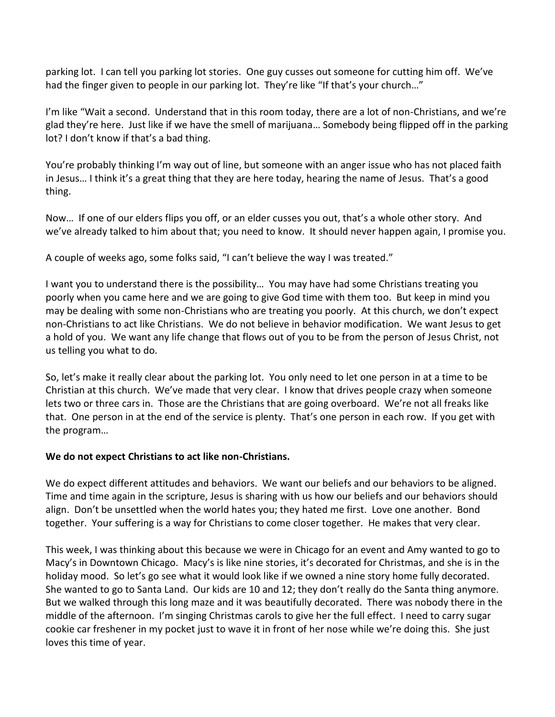parking lot. I can tell you parking lot stories. One guy cusses out someone for cutting him off. We've had the finger given to people in our parking lot. They're like "If that's your church..."

I'm like "Wait a second. Understand that in this room today, there are a lot of non-Christians, and we're glad they're here. Just like if we have the smell of marijuana… Somebody being flipped off in the parking lot? I don't know if that's a bad thing.

You're probably thinking I'm way out of line, but someone with an anger issue who has not placed faith in Jesus… I think it's a great thing that they are here today, hearing the name of Jesus. That's a good thing.

Now… If one of our elders flips you off, or an elder cusses you out, that's a whole other story. And we've already talked to him about that; you need to know. It should never happen again, I promise you.

A couple of weeks ago, some folks said, "I can't believe the way I was treated."

I want you to understand there is the possibility… You may have had some Christians treating you poorly when you came here and we are going to give God time with them too. But keep in mind you may be dealing with some non-Christians who are treating you poorly. At this church, we don't expect non-Christians to act like Christians. We do not believe in behavior modification. We want Jesus to get a hold of you. We want any life change that flows out of you to be from the person of Jesus Christ, not us telling you what to do.

So, let's make it really clear about the parking lot. You only need to let one person in at a time to be Christian at this church. We've made that very clear. I know that drives people crazy when someone lets two or three cars in. Those are the Christians that are going overboard. We're not all freaks like that. One person in at the end of the service is plenty. That's one person in each row. If you get with the program…

### **We do not expect Christians to act like non-Christians.**

We do expect different attitudes and behaviors. We want our beliefs and our behaviors to be aligned. Time and time again in the scripture, Jesus is sharing with us how our beliefs and our behaviors should align. Don't be unsettled when the world hates you; they hated me first. Love one another. Bond together. Your suffering is a way for Christians to come closer together. He makes that very clear.

This week, I was thinking about this because we were in Chicago for an event and Amy wanted to go to Macy's in Downtown Chicago. Macy's is like nine stories, it's decorated for Christmas, and she is in the holiday mood. So let's go see what it would look like if we owned a nine story home fully decorated. She wanted to go to Santa Land. Our kids are 10 and 12; they don't really do the Santa thing anymore. But we walked through this long maze and it was beautifully decorated. There was nobody there in the middle of the afternoon. I'm singing Christmas carols to give her the full effect. I need to carry sugar cookie car freshener in my pocket just to wave it in front of her nose while we're doing this. She just loves this time of year.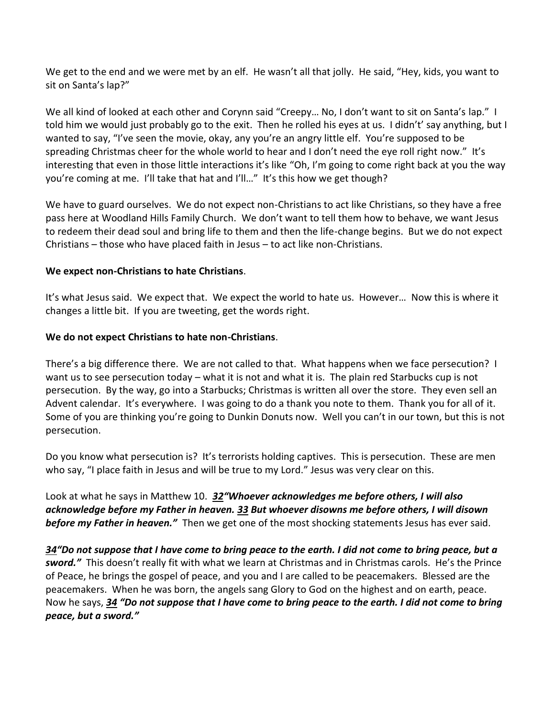We get to the end and we were met by an elf. He wasn't all that jolly. He said, "Hey, kids, you want to sit on Santa's lap?"

We all kind of looked at each other and Corynn said "Creepy… No, I don't want to sit on Santa's lap." I told him we would just probably go to the exit. Then he rolled his eyes at us. I didn't' say anything, but I wanted to say, "I've seen the movie, okay, any you're an angry little elf. You're supposed to be spreading Christmas cheer for the whole world to hear and I don't need the eye roll right now." It's interesting that even in those little interactions it's like "Oh, I'm going to come right back at you the way you're coming at me. I'll take that hat and I'll…" It's this how we get though?

We have to guard ourselves. We do not expect non-Christians to act like Christians, so they have a free pass here at Woodland Hills Family Church. We don't want to tell them how to behave, we want Jesus to redeem their dead soul and bring life to them and then the life-change begins. But we do not expect Christians – those who have placed faith in Jesus – to act like non-Christians.

### **We expect non-Christians to hate Christians**.

It's what Jesus said. We expect that. We expect the world to hate us. However… Now this is where it changes a little bit. If you are tweeting, get the words right.

#### **We do not expect Christians to hate non-Christians**.

There's a big difference there. We are not called to that. What happens when we face persecution? I want us to see persecution today – what it is not and what it is. The plain red Starbucks cup is not persecution. By the way, go into a Starbucks; Christmas is written all over the store. They even sell an Advent calendar. It's everywhere. I was going to do a thank you note to them. Thank you for all of it. Some of you are thinking you're going to Dunkin Donuts now. Well you can't in our town, but this is not persecution.

Do you know what persecution is? It's terrorists holding captives. This is persecution. These are men who say, "I place faith in Jesus and will be true to my Lord." Jesus was very clear on this.

Look at what he says in Matthew 10. *[32](http://www.studylight.org/desk/?q=mt%2010:32&t1=en_niv&sr=1)"Whoever acknowledges me before others, I will also acknowledge before my Father in heaven. [33](http://www.studylight.org/desk/?q=mt%2010:33&t1=en_niv&sr=1) But whoever disowns me before others, I will disown before my Father in heaven."* Then we get one of the most shocking statements Jesus has ever said.

*[34](http://www.studylight.org/desk/?q=mt%2010:34&t1=en_niv&sr=1)"Do not suppose that I have come to bring peace to the earth. I did not come to bring peace, but a sword."* This doesn't really fit with what we learn at Christmas and in Christmas carols. He's the Prince of Peace, he brings the gospel of peace, and you and I are called to be peacemakers. Blessed are the peacemakers. When he was born, the angels sang Glory to God on the highest and on earth, peace. Now he says, *[34](http://www.studylight.org/desk/?q=mt%2010:34&t1=en_niv&sr=1) "Do not suppose that I have come to bring peace to the earth. I did not come to bring peace, but a sword."*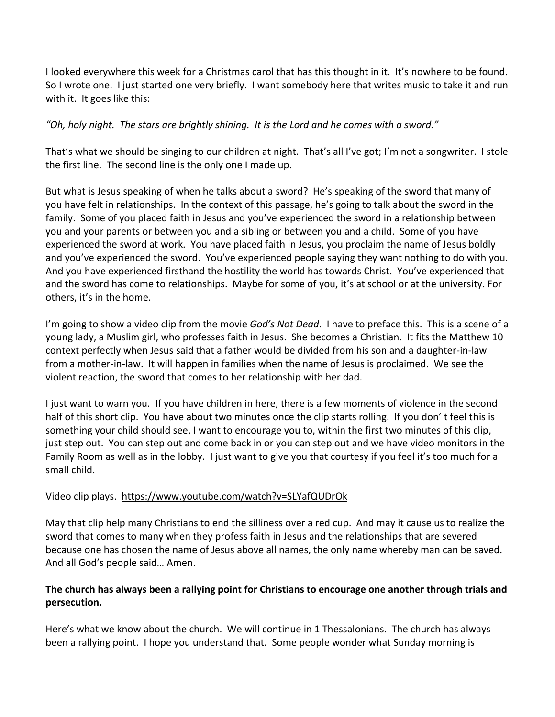I looked everywhere this week for a Christmas carol that has this thought in it. It's nowhere to be found. So I wrote one. I just started one very briefly. I want somebody here that writes music to take it and run with it. It goes like this:

*"Oh, holy night. The stars are brightly shining. It is the Lord and he comes with a sword."* 

That's what we should be singing to our children at night. That's all I've got; I'm not a songwriter. I stole the first line. The second line is the only one I made up.

But what is Jesus speaking of when he talks about a sword? He's speaking of the sword that many of you have felt in relationships. In the context of this passage, he's going to talk about the sword in the family. Some of you placed faith in Jesus and you've experienced the sword in a relationship between you and your parents or between you and a sibling or between you and a child. Some of you have experienced the sword at work. You have placed faith in Jesus, you proclaim the name of Jesus boldly and you've experienced the sword. You've experienced people saying they want nothing to do with you. And you have experienced firsthand the hostility the world has towards Christ. You've experienced that and the sword has come to relationships. Maybe for some of you, it's at school or at the university. For others, it's in the home.

I'm going to show a video clip from the movie *God's Not Dead*. I have to preface this. This is a scene of a young lady, a Muslim girl, who professes faith in Jesus. She becomes a Christian. It fits the Matthew 10 context perfectly when Jesus said that a father would be divided from his son and a daughter-in-law from a mother-in-law. It will happen in families when the name of Jesus is proclaimed. We see the violent reaction, the sword that comes to her relationship with her dad.

I just want to warn you. If you have children in here, there is a few moments of violence in the second half of this short clip. You have about two minutes once the clip starts rolling. If you don' t feel this is something your child should see, I want to encourage you to, within the first two minutes of this clip, just step out. You can step out and come back in or you can step out and we have video monitors in the Family Room as well as in the lobby. I just want to give you that courtesy if you feel it's too much for a small child.

# Video clip plays. <https://www.youtube.com/watch?v=SLYafQUDrOk>

May that clip help many Christians to end the silliness over a red cup. And may it cause us to realize the sword that comes to many when they profess faith in Jesus and the relationships that are severed because one has chosen the name of Jesus above all names, the only name whereby man can be saved. And all God's people said… Amen.

## **The church has always been a rallying point for Christians to encourage one another through trials and persecution.**

Here's what we know about the church. We will continue in 1 Thessalonians. The church has always been a rallying point. I hope you understand that. Some people wonder what Sunday morning is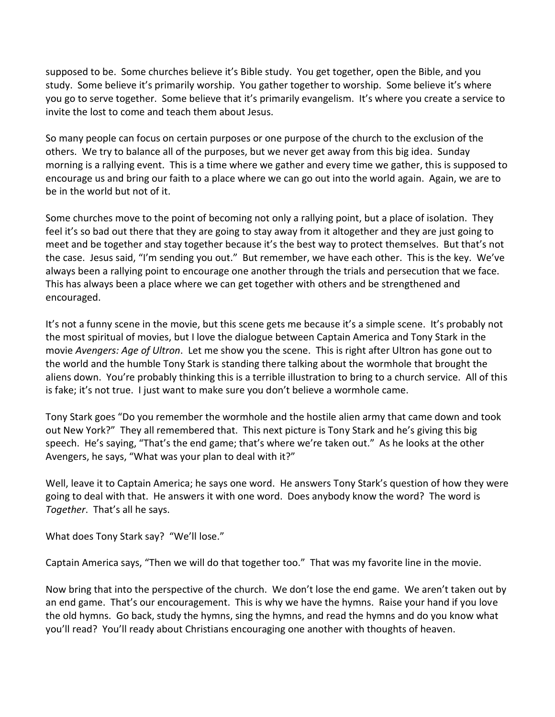supposed to be. Some churches believe it's Bible study. You get together, open the Bible, and you study. Some believe it's primarily worship. You gather together to worship. Some believe it's where you go to serve together. Some believe that it's primarily evangelism. It's where you create a service to invite the lost to come and teach them about Jesus.

So many people can focus on certain purposes or one purpose of the church to the exclusion of the others. We try to balance all of the purposes, but we never get away from this big idea. Sunday morning is a rallying event. This is a time where we gather and every time we gather, this is supposed to encourage us and bring our faith to a place where we can go out into the world again. Again, we are to be in the world but not of it.

Some churches move to the point of becoming not only a rallying point, but a place of isolation. They feel it's so bad out there that they are going to stay away from it altogether and they are just going to meet and be together and stay together because it's the best way to protect themselves. But that's not the case. Jesus said, "I'm sending you out." But remember, we have each other. This is the key. We've always been a rallying point to encourage one another through the trials and persecution that we face. This has always been a place where we can get together with others and be strengthened and encouraged.

It's not a funny scene in the movie, but this scene gets me because it's a simple scene. It's probably not the most spiritual of movies, but I love the dialogue between Captain America and Tony Stark in the movie *Avengers: Age of Ultron*. Let me show you the scene. This is right after Ultron has gone out to the world and the humble Tony Stark is standing there talking about the wormhole that brought the aliens down. You're probably thinking this is a terrible illustration to bring to a church service. All of this is fake; it's not true. I just want to make sure you don't believe a wormhole came.

Tony Stark goes "Do you remember the wormhole and the hostile alien army that came down and took out New York?" They all remembered that. This next picture is Tony Stark and he's giving this big speech. He's saying, "That's the end game; that's where we're taken out." As he looks at the other Avengers, he says, "What was your plan to deal with it?"

Well, leave it to Captain America; he says one word. He answers Tony Stark's question of how they were going to deal with that. He answers it with one word. Does anybody know the word? The word is *Together*. That's all he says.

What does Tony Stark say? "We'll lose."

Captain America says, "Then we will do that together too." That was my favorite line in the movie.

Now bring that into the perspective of the church. We don't lose the end game. We aren't taken out by an end game. That's our encouragement. This is why we have the hymns. Raise your hand if you love the old hymns. Go back, study the hymns, sing the hymns, and read the hymns and do you know what you'll read? You'll ready about Christians encouraging one another with thoughts of heaven.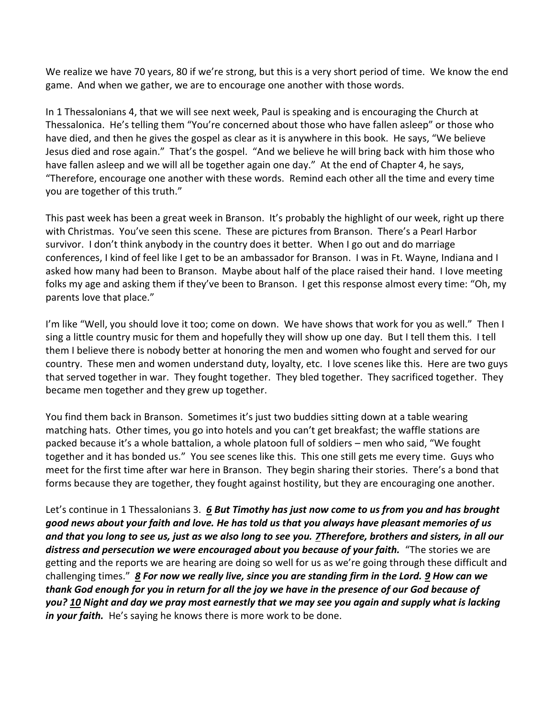We realize we have 70 years, 80 if we're strong, but this is a very short period of time. We know the end game. And when we gather, we are to encourage one another with those words.

In 1 Thessalonians 4, that we will see next week, Paul is speaking and is encouraging the Church at Thessalonica. He's telling them "You're concerned about those who have fallen asleep" or those who have died, and then he gives the gospel as clear as it is anywhere in this book. He says, "We believe Jesus died and rose again." That's the gospel. "And we believe he will bring back with him those who have fallen asleep and we will all be together again one day." At the end of Chapter 4, he says, "Therefore, encourage one another with these words. Remind each other all the time and every time you are together of this truth."

This past week has been a great week in Branson. It's probably the highlight of our week, right up there with Christmas. You've seen this scene. These are pictures from Branson. There's a Pearl Harbor survivor. I don't think anybody in the country does it better. When I go out and do marriage conferences, I kind of feel like I get to be an ambassador for Branson. I was in Ft. Wayne, Indiana and I asked how many had been to Branson. Maybe about half of the place raised their hand. I love meeting folks my age and asking them if they've been to Branson. I get this response almost every time: "Oh, my parents love that place."

I'm like "Well, you should love it too; come on down. We have shows that work for you as well." Then I sing a little country music for them and hopefully they will show up one day. But I tell them this. I tell them I believe there is nobody better at honoring the men and women who fought and served for our country. These men and women understand duty, loyalty, etc. I love scenes like this. Here are two guys that served together in war. They fought together. They bled together. They sacrificed together. They became men together and they grew up together.

You find them back in Branson. Sometimes it's just two buddies sitting down at a table wearing matching hats. Other times, you go into hotels and you can't get breakfast; the waffle stations are packed because it's a whole battalion, a whole platoon full of soldiers – men who said, "We fought together and it has bonded us." You see scenes like this. This one still gets me every time. Guys who meet for the first time after war here in Branson. They begin sharing their stories. There's a bond that forms because they are together, they fought against hostility, but they are encouraging one another.

Let's continue in 1 Thessalonians 3. *[6](http://www.studylight.org/desk/?q=1th%203:6&t1=en_niv&sr=1) But Timothy has just now come to us from you and has brought good news about your faith and love. He has told us that you always have pleasant memories of us and that you long to see us, just as we also long to see you. [7T](http://www.studylight.org/desk/?q=1th%203:7&t1=en_niv&sr=1)herefore, brothers and sisters, in all our distress and persecution we were encouraged about you because of your faith.* "The stories we are getting and the reports we are hearing are doing so well for us as we're going through these difficult and challenging times." *[8](http://www.studylight.org/desk/?q=1th%203:8&t1=en_niv&sr=1) For now we really live, since you are standing firm in the Lord. [9](http://www.studylight.org/desk/?q=1th%203:9&t1=en_niv&sr=1) How can we thank God enough for you in return for all the joy we have in the presence of our God because of you? [10](http://www.studylight.org/desk/?q=1th%203:10&t1=en_niv&sr=1) Night and day we pray most earnestly that we may see you again and supply what is lacking in your faith.* He's saying he knows there is more work to be done.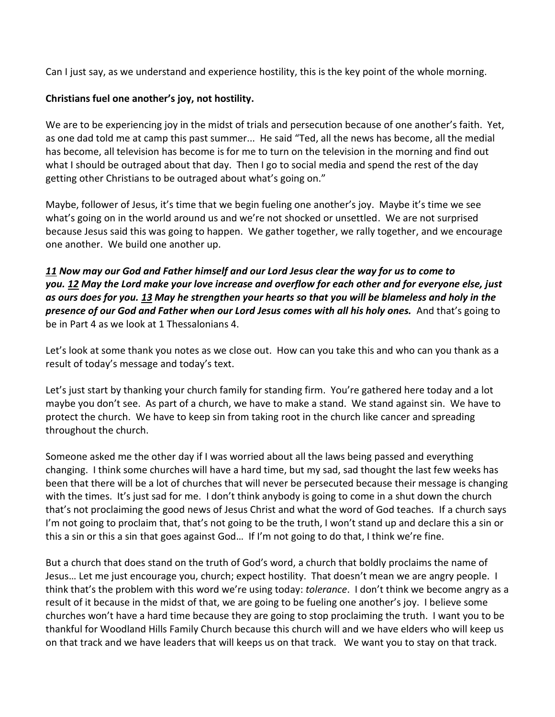Can I just say, as we understand and experience hostility, this is the key point of the whole morning.

## **Christians fuel one another's joy, not hostility.**

We are to be experiencing joy in the midst of trials and persecution because of one another's faith. Yet, as one dad told me at camp this past summer... He said "Ted, all the news has become, all the medial has become, all television has become is for me to turn on the television in the morning and find out what I should be outraged about that day. Then I go to social media and spend the rest of the day getting other Christians to be outraged about what's going on."

Maybe, follower of Jesus, it's time that we begin fueling one another's joy. Maybe it's time we see what's going on in the world around us and we're not shocked or unsettled. We are not surprised because Jesus said this was going to happen. We gather together, we rally together, and we encourage one another. We build one another up.

# *[11](http://www.studylight.org/desk/?q=1th%203:11&t1=en_niv&sr=1) Now may our God and Father himself and our Lord Jesus clear the way for us to come to you. [12](http://www.studylight.org/desk/?q=1th%203:12&t1=en_niv&sr=1) May the Lord make your love increase and overflow for each other and for everyone else, just as ours does for you. [13](http://www.studylight.org/desk/?q=1th%203:13&t1=en_niv&sr=1) May he strengthen your hearts so that you will be blameless and holy in the presence of our God and Father when our Lord Jesus comes with all his holy ones.* And that's going to be in Part 4 as we look at 1 Thessalonians 4.

Let's look at some thank you notes as we close out. How can you take this and who can you thank as a result of today's message and today's text.

Let's just start by thanking your church family for standing firm. You're gathered here today and a lot maybe you don't see. As part of a church, we have to make a stand. We stand against sin. We have to protect the church. We have to keep sin from taking root in the church like cancer and spreading throughout the church.

Someone asked me the other day if I was worried about all the laws being passed and everything changing. I think some churches will have a hard time, but my sad, sad thought the last few weeks has been that there will be a lot of churches that will never be persecuted because their message is changing with the times. It's just sad for me. I don't think anybody is going to come in a shut down the church that's not proclaiming the good news of Jesus Christ and what the word of God teaches. If a church says I'm not going to proclaim that, that's not going to be the truth, I won't stand up and declare this a sin or this a sin or this a sin that goes against God… If I'm not going to do that, I think we're fine.

But a church that does stand on the truth of God's word, a church that boldly proclaims the name of Jesus… Let me just encourage you, church; expect hostility. That doesn't mean we are angry people. I think that's the problem with this word we're using today: *tolerance*. I don't think we become angry as a result of it because in the midst of that, we are going to be fueling one another's joy. I believe some churches won't have a hard time because they are going to stop proclaiming the truth. I want you to be thankful for Woodland Hills Family Church because this church will and we have elders who will keep us on that track and we have leaders that will keeps us on that track. We want you to stay on that track.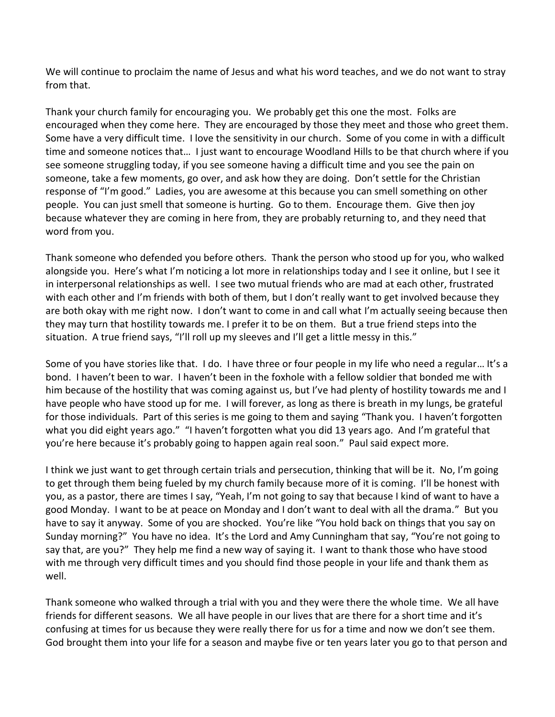We will continue to proclaim the name of Jesus and what his word teaches, and we do not want to stray from that.

Thank your church family for encouraging you. We probably get this one the most. Folks are encouraged when they come here. They are encouraged by those they meet and those who greet them. Some have a very difficult time. I love the sensitivity in our church. Some of you come in with a difficult time and someone notices that… I just want to encourage Woodland Hills to be that church where if you see someone struggling today, if you see someone having a difficult time and you see the pain on someone, take a few moments, go over, and ask how they are doing. Don't settle for the Christian response of "I'm good." Ladies, you are awesome at this because you can smell something on other people. You can just smell that someone is hurting. Go to them. Encourage them. Give then joy because whatever they are coming in here from, they are probably returning to, and they need that word from you.

Thank someone who defended you before others. Thank the person who stood up for you, who walked alongside you. Here's what I'm noticing a lot more in relationships today and I see it online, but I see it in interpersonal relationships as well. I see two mutual friends who are mad at each other, frustrated with each other and I'm friends with both of them, but I don't really want to get involved because they are both okay with me right now. I don't want to come in and call what I'm actually seeing because then they may turn that hostility towards me. I prefer it to be on them. But a true friend steps into the situation. A true friend says, "I'll roll up my sleeves and I'll get a little messy in this."

Some of you have stories like that. I do. I have three or four people in my life who need a regular… It's a bond. I haven't been to war. I haven't been in the foxhole with a fellow soldier that bonded me with him because of the hostility that was coming against us, but I've had plenty of hostility towards me and I have people who have stood up for me. I will forever, as long as there is breath in my lungs, be grateful for those individuals. Part of this series is me going to them and saying "Thank you. I haven't forgotten what you did eight years ago." "I haven't forgotten what you did 13 years ago. And I'm grateful that you're here because it's probably going to happen again real soon." Paul said expect more.

I think we just want to get through certain trials and persecution, thinking that will be it. No, I'm going to get through them being fueled by my church family because more of it is coming. I'll be honest with you, as a pastor, there are times I say, "Yeah, I'm not going to say that because I kind of want to have a good Monday. I want to be at peace on Monday and I don't want to deal with all the drama." But you have to say it anyway. Some of you are shocked. You're like "You hold back on things that you say on Sunday morning?" You have no idea. It's the Lord and Amy Cunningham that say, "You're not going to say that, are you?" They help me find a new way of saying it. I want to thank those who have stood with me through very difficult times and you should find those people in your life and thank them as well.

Thank someone who walked through a trial with you and they were there the whole time. We all have friends for different seasons. We all have people in our lives that are there for a short time and it's confusing at times for us because they were really there for us for a time and now we don't see them. God brought them into your life for a season and maybe five or ten years later you go to that person and